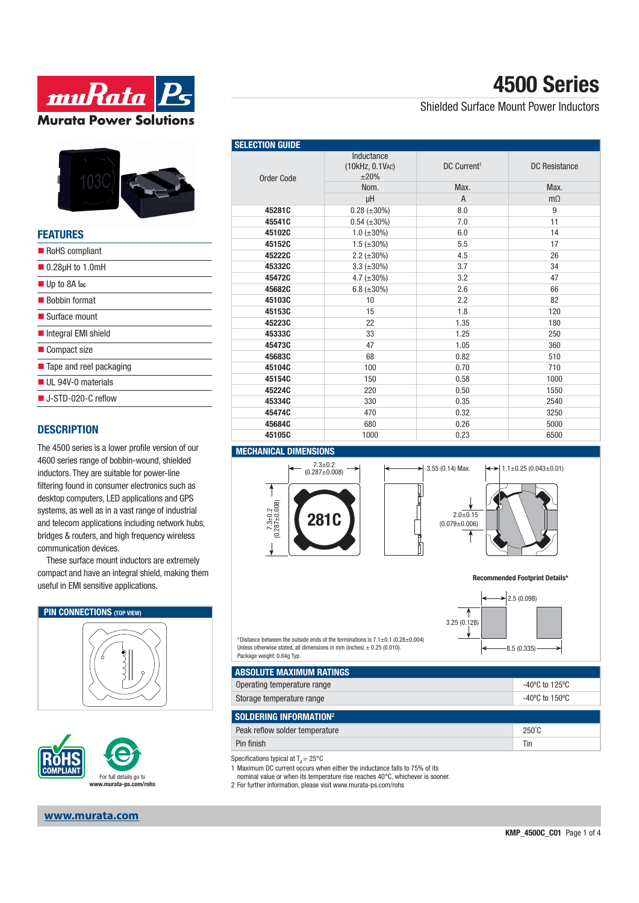



#### **FEATURES**

| RoHS compliant                    |
|-----------------------------------|
| $\blacksquare$ 0.28µH to 1.0mH    |
| $\blacksquare$ Up to 8A lpc       |
| ■ Bobbin format                   |
| $\blacksquare$ Surface mount      |
| Integral EMI shield               |
| ■ Compact size                    |
| ■ Tape and reel packaging         |
| UL 94V-0 materials                |
| $\blacksquare$ J-STD-020-C reflow |
|                                   |

### **DESCRIPTION**

The 4500 series is a lower profile version of our 4600 series range of bobbin-wound, shielded inductors. They are suitable for power-line filtering found in consumer electronics such as desktop computers, LED applications and GPS systems, as well as in a vast range of industrial and telecom applications including network hubs, bridges & routers, and high frequency wireless communication devices.

These surface mount inductors are extremely compact and have an integral shield, making them useful in EMI sensitive applications.

#### **PIN CONNECTIONS** (TOP VIEW)





**www.murata.com**

# **4500 Series**

### Shielded Surface Mount Power Inductors

| <b>SELECTION GUIDE</b> |                                             |                         |                      |
|------------------------|---------------------------------------------|-------------------------|----------------------|
| Order Code             | Inductance<br>(10kHz, 0.1VAC)<br>$\pm 20\%$ | DC Current <sup>1</sup> | <b>DC Resistance</b> |
|                        | Nom.                                        | Max.                    | Max.                 |
|                        | μH                                          | $\overline{A}$          | $m\Omega$            |
| 45281C                 | $0.28 (\pm 30\%)$                           | 8.0                     | 9                    |
| 45541C                 | $0.54 (\pm 30\%)$                           | 7.0                     | 11                   |
| 45102C                 | $1.0$ ( $\pm 30\%$ )                        | 6.0                     | 14                   |
| 45152C                 | $1.5 (\pm 30\%)$                            | 5.5                     | 17                   |
| 45222C                 | 2.2 $(\pm 30\%)$                            | 4.5                     | 26                   |
| 45332C                 | 3.3 $(\pm 30\%)$                            | 3.7                     | 34                   |
| 45472C                 | 4.7 $(\pm 30\%)$                            | 3.2                     | 47                   |
| 45682C                 | 6.8 $(\pm 30\%)$                            | 2.6                     | 66                   |
| 45103C                 | 10                                          | 2.2                     | 82                   |
| 45153C                 | 15                                          | 1.8                     | 120                  |
| 45223C                 | 22                                          | 1.35                    | 180                  |
| 45333C                 | 33                                          | 1.25                    | 250                  |
| 45473C                 | 47                                          | 1.05                    | 360                  |
| 45683C                 | 68                                          | 0.82                    | 510                  |
| 45104C                 | 100                                         | 0.70                    | 710                  |
| 45154C                 | 150                                         | 0.58                    | 1000                 |
| 45224C                 | 220                                         | 0.50                    | 1550                 |
| 45334C                 | 330                                         | 0.35                    | 2540                 |
| 45474C                 | 470                                         | 0.32                    | 3250                 |
| 45684C                 | 680                                         | 0.26                    | 5000                 |
| 45105C                 | 1000                                        | 0.23                    | 6500                 |

#### **MECHANICAL DIMENSIONS**













\*Distance between the outside ends of the terminations is  $7.1+0.1$  (0.28 $\pm$ 0.004) Unless otherwise stated, all dimensions in mm (inches)  $\pm$  0.25 (0.010). Package weight: 0.64g Typ.

| I ABSOLUTE MAXIMUM RATINGS  |                                     |  |
|-----------------------------|-------------------------------------|--|
| Operating temperature range | -40°C to 125°C                      |  |
| Storage temperature range   | $-40^{\circ}$ C to 150 $^{\circ}$ C |  |

| <b>SOLDERING INFORMATION<sup>2</sup></b> |                 |  |
|------------------------------------------|-----------------|--|
| Peak reflow solder temperature           | $250^{\circ}$ C |  |
| Pin finish                               | Tin             |  |

Specifications typical at  $T_a = 25^{\circ}$ C

1 Maximum DC current occurs when either the inductance falls to 75% of its

- nominal value or when its temperature rise reaches 40°C, whichever is sooner.
- 2 For further information, please visit www.murata-ps.com/rohs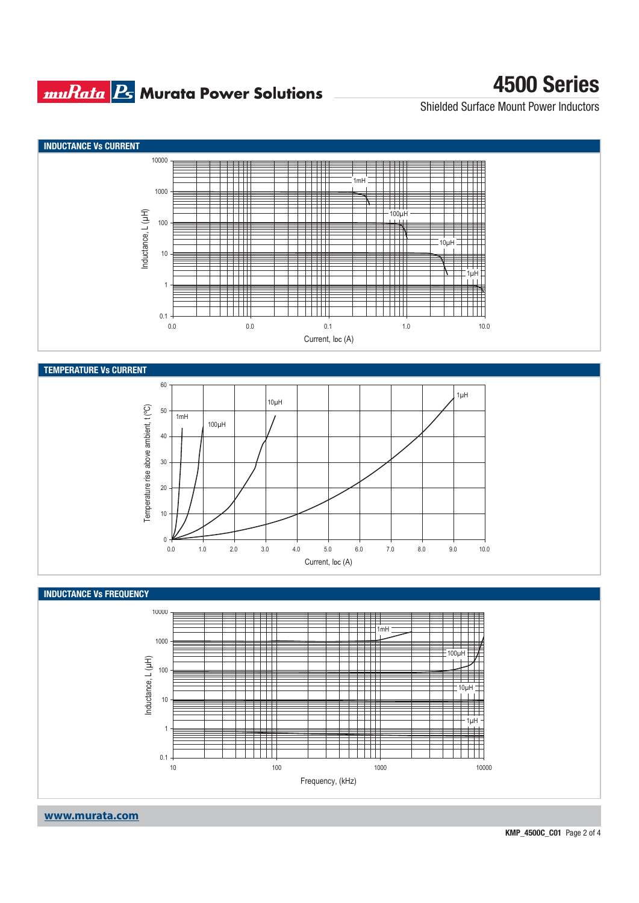### **muRata Ps** Murata Power Solutions

# **4500 Series**

Shielded Surface Mount Power Inductors

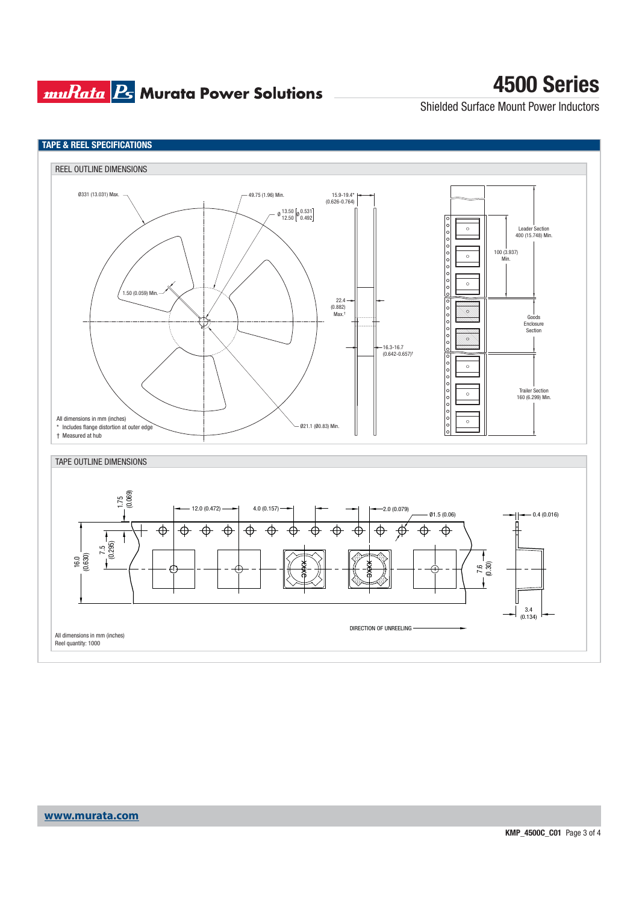## **muRata B** Murata Power Solutions

# **4500 Series**

Shielded Surface Mount Power Inductors